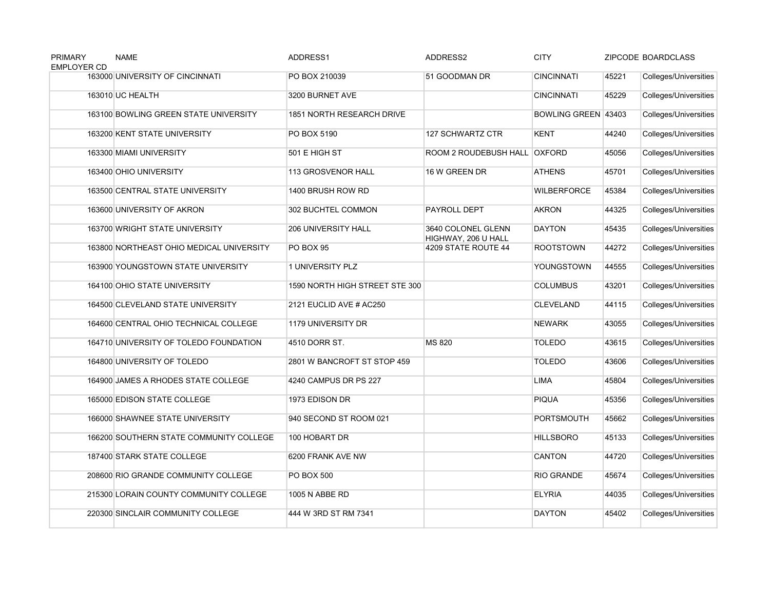| <b>PRIMARY</b><br><b>EMPLOYER CD</b> | <b>NAME</b>                              | ADDRESS1                         | ADDRESS2                                  | <b>CITY</b>         | <b>ZIPCODE BOARDCLASS</b> |                       |
|--------------------------------------|------------------------------------------|----------------------------------|-------------------------------------------|---------------------|---------------------------|-----------------------|
|                                      | 163000 UNIVERSITY OF CINCINNATI          | PO BOX 210039                    | 51 GOODMAN DR                             | <b>CINCINNATI</b>   | 45221                     | Colleges/Universities |
|                                      | 163010 UC HEALTH                         | 3200 BURNET AVE                  |                                           | <b>CINCINNATI</b>   | 45229                     | Colleges/Universities |
|                                      | 163100 BOWLING GREEN STATE UNIVERSITY    | <b>1851 NORTH RESEARCH DRIVE</b> |                                           | BOWLING GREEN 43403 |                           | Colleges/Universities |
|                                      | 163200 KENT STATE UNIVERSITY             | PO BOX 5190                      | <b>127 SCHWARTZ CTR</b>                   | <b>KENT</b>         | 44240                     | Colleges/Universities |
|                                      | 163300 MIAMI UNIVERSITY                  | 501 E HIGH ST                    | ROOM 2 ROUDEBUSH HALL OXFORD              |                     | 45056                     | Colleges/Universities |
|                                      | 163400 OHIO UNIVERSITY                   | <b>113 GROSVENOR HALL</b>        | 16 W GREEN DR                             | <b>ATHENS</b>       | 45701                     | Colleges/Universities |
|                                      | 163500 CENTRAL STATE UNIVERSITY          | 1400 BRUSH ROW RD                |                                           | <b>WILBERFORCE</b>  | 45384                     | Colleges/Universities |
|                                      | 163600 UNIVERSITY OF AKRON               | 302 BUCHTEL COMMON               | PAYROLL DEPT                              | <b>AKRON</b>        | 44325                     | Colleges/Universities |
|                                      | 163700 WRIGHT STATE UNIVERSITY           | <b>206 UNIVERSITY HALL</b>       | 3640 COLONEL GLENN<br>HIGHWAY, 206 U HALL | <b>DAYTON</b>       | 45435                     | Colleges/Universities |
|                                      | 163800 NORTHEAST OHIO MEDICAL UNIVERSITY | <b>PO BOX 95</b>                 | 4209 STATE ROUTE 44                       | <b>ROOTSTOWN</b>    | 44272                     | Colleges/Universities |
|                                      | 163900 YOUNGSTOWN STATE UNIVERSITY       | 1 UNIVERSITY PLZ                 |                                           | YOUNGSTOWN          | 44555                     | Colleges/Universities |
|                                      | 164100 OHIO STATE UNIVERSITY             | 1590 NORTH HIGH STREET STE 300   |                                           | <b>COLUMBUS</b>     | 43201                     | Colleges/Universities |
|                                      | 164500 CLEVELAND STATE UNIVERSITY        | 2121 EUCLID AVE # AC250          |                                           | <b>CLEVELAND</b>    | 44115                     | Colleges/Universities |
|                                      | 164600 CENTRAL OHIO TECHNICAL COLLEGE    | 1179 UNIVERSITY DR               |                                           | <b>NEWARK</b>       | 43055                     | Colleges/Universities |
|                                      | 164710 UNIVERSITY OF TOLEDO FOUNDATION   | 4510 DORR ST.                    | <b>MS 820</b>                             | <b>TOLEDO</b>       | 43615                     | Colleges/Universities |
|                                      | 164800 UNIVERSITY OF TOLEDO              | 2801 W BANCROFT ST STOP 459      |                                           | <b>TOLEDO</b>       | 43606                     | Colleges/Universities |
|                                      | 164900 JAMES A RHODES STATE COLLEGE      | 4240 CAMPUS DR PS 227            |                                           | <b>LIMA</b>         | 45804                     | Colleges/Universities |
|                                      | 165000 EDISON STATE COLLEGE              | 1973 EDISON DR                   |                                           | <b>PIQUA</b>        | 45356                     | Colleges/Universities |
|                                      | 166000 SHAWNEE STATE UNIVERSITY          | 940 SECOND ST ROOM 021           |                                           | <b>PORTSMOUTH</b>   | 45662                     | Colleges/Universities |
|                                      | 166200 SOUTHERN STATE COMMUNITY COLLEGE  | 100 HOBART DR                    |                                           | <b>HILLSBORO</b>    | 45133                     | Colleges/Universities |
|                                      | 187400 STARK STATE COLLEGE               | 6200 FRANK AVE NW                |                                           | <b>CANTON</b>       | 44720                     | Colleges/Universities |
|                                      | 208600 RIO GRANDE COMMUNITY COLLEGE      | PO BOX 500                       |                                           | <b>RIO GRANDE</b>   | 45674                     | Colleges/Universities |
|                                      | 215300 LORAIN COUNTY COMMUNITY COLLEGE   | 1005 N ABBE RD                   |                                           | <b>ELYRIA</b>       | 44035                     | Colleges/Universities |
|                                      | 220300 SINCLAIR COMMUNITY COLLEGE        | 444 W 3RD ST RM 7341             |                                           | <b>DAYTON</b>       | 45402                     | Colleges/Universities |